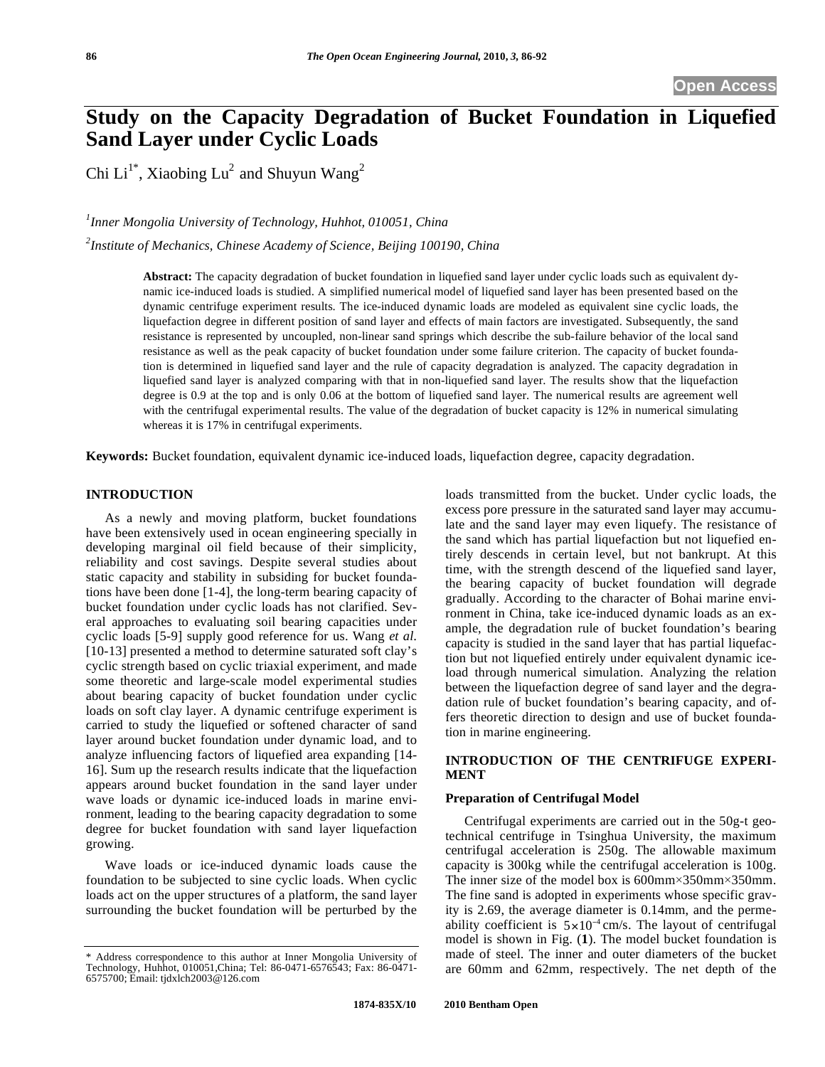# **Study on the Capacity Degradation of Bucket Foundation in Liquefied Sand Layer under Cyclic Loads**

Chi Li<sup>1\*</sup>, Xiaobing Lu<sup>2</sup> and Shuyun Wang<sup>2</sup>

*1 Inner Mongolia University of Technology, Huhhot, 010051, China* 

*2 Institute of Mechanics, Chinese Academy of Science, Beijing 100190, China* 

**Abstract:** The capacity degradation of bucket foundation in liquefied sand layer under cyclic loads such as equivalent dynamic ice-induced loads is studied. A simplified numerical model of liquefied sand layer has been presented based on the dynamic centrifuge experiment results. The ice-induced dynamic loads are modeled as equivalent sine cyclic loads, the liquefaction degree in different position of sand layer and effects of main factors are investigated. Subsequently, the sand resistance is represented by uncoupled, non-linear sand springs which describe the sub-failure behavior of the local sand resistance as well as the peak capacity of bucket foundation under some failure criterion. The capacity of bucket foundation is determined in liquefied sand layer and the rule of capacity degradation is analyzed. The capacity degradation in liquefied sand layer is analyzed comparing with that in non-liquefied sand layer. The results show that the liquefaction degree is 0.9 at the top and is only 0.06 at the bottom of liquefied sand layer. The numerical results are agreement well with the centrifugal experimental results. The value of the degradation of bucket capacity is 12% in numerical simulating whereas it is 17% in centrifugal experiments.

**Keywords:** Bucket foundation, equivalent dynamic ice-induced loads, liquefaction degree, capacity degradation.

# **INTRODUCTION**

As a newly and moving platform, bucket foundations have been extensively used in ocean engineering specially in developing marginal oil field because of their simplicity, reliability and cost savings. Despite several studies about static capacity and stability in subsiding for bucket foundations have been done [1-4], the long-term bearing capacity of bucket foundation under cyclic loads has not clarified. Several approaches to evaluating soil bearing capacities under cyclic loads [5-9] supply good reference for us. Wang *et al*. [10-13] presented a method to determine saturated soft clay's cyclic strength based on cyclic triaxial experiment, and made some theoretic and large-scale model experimental studies about bearing capacity of bucket foundation under cyclic loads on soft clay layer. A dynamic centrifuge experiment is carried to study the liquefied or softened character of sand layer around bucket foundation under dynamic load, and to analyze influencing factors of liquefied area expanding [14- 16]. Sum up the research results indicate that the liquefaction appears around bucket foundation in the sand layer under wave loads or dynamic ice-induced loads in marine environment, leading to the bearing capacity degradation to some degree for bucket foundation with sand layer liquefaction growing.

Wave loads or ice-induced dynamic loads cause the foundation to be subjected to sine cyclic loads. When cyclic loads act on the upper structures of a platform, the sand layer surrounding the bucket foundation will be perturbed by the loads transmitted from the bucket. Under cyclic loads, the excess pore pressure in the saturated sand layer may accumulate and the sand layer may even liquefy. The resistance of the sand which has partial liquefaction but not liquefied entirely descends in certain level, but not bankrupt. At this time, with the strength descend of the liquefied sand layer, the bearing capacity of bucket foundation will degrade gradually. According to the character of Bohai marine environment in China, take ice-induced dynamic loads as an example, the degradation rule of bucket foundation's bearing capacity is studied in the sand layer that has partial liquefaction but not liquefied entirely under equivalent dynamic iceload through numerical simulation. Analyzing the relation between the liquefaction degree of sand layer and the degradation rule of bucket foundation's bearing capacity, and offers theoretic direction to design and use of bucket foundation in marine engineering.

# **INTRODUCTION OF THE CENTRIFUGE EXPERI-MENT**

# **Preparation of Centrifugal Model**

Centrifugal experiments are carried out in the 50g-t geotechnical centrifuge in Tsinghua University, the maximum centrifugal acceleration is 250g. The allowable maximum capacity is 300kg while the centrifugal acceleration is 100g. The inner size of the model box is  $600 \text{mm} \times 350 \text{mm} \times 350 \text{mm}$ . The fine sand is adopted in experiments whose specific gravity is 2.69, the average diameter is 0.14mm, and the permeability coefficient is  $5 \times 10^{-4}$  cm/s. The layout of centrifugal model is shown in Fig. (**1**). The model bucket foundation is made of steel. The inner and outer diameters of the bucket are 60mm and 62mm, respectively. The net depth of the

<sup>\*</sup> Address correspondence to this author at Inner Mongolia University of Technology, Huhhot, 010051,China; Tel: 86-0471-6576543; Fax: 86-0471- 6575700; Email: tjdxlch2003@126.com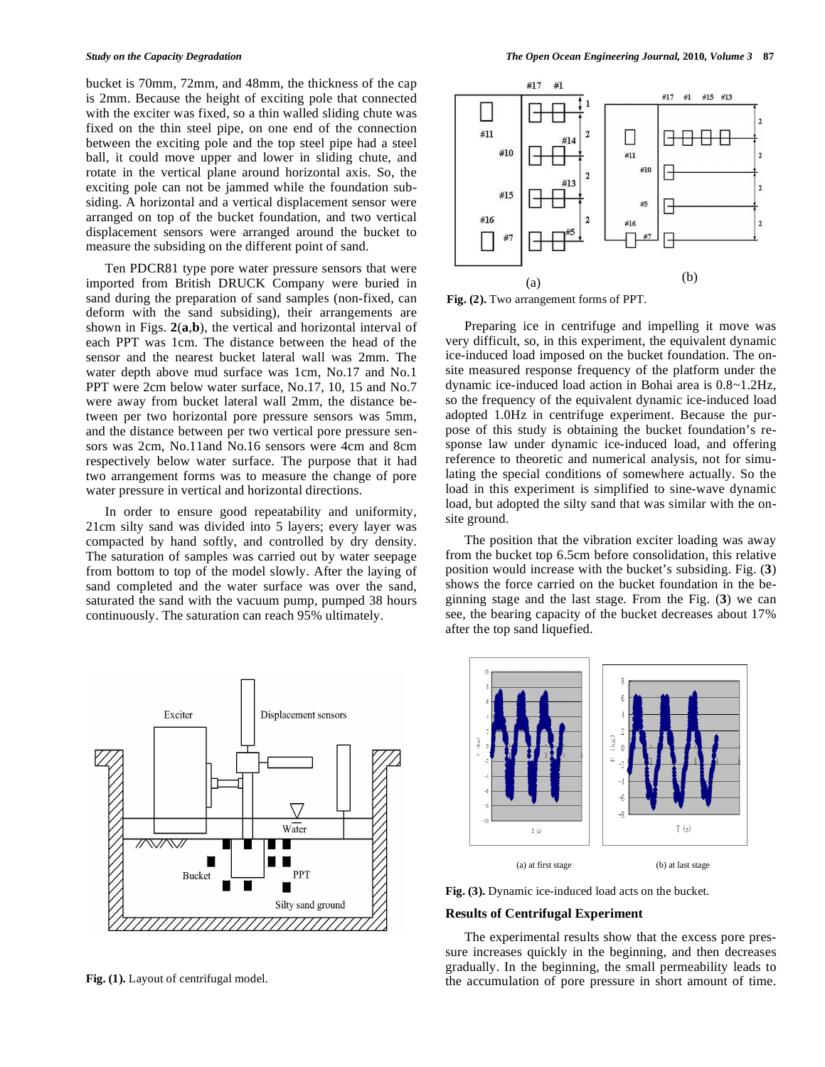bucket is 70mm, 72mm, and 48mm, the thickness of the cap is 2mm. Because the height of exciting pole that connected with the exciter was fixed, so a thin walled sliding chute was fixed on the thin steel pipe, on one end of the connection between the exciting pole and the top steel pipe had a steel ball, it could move upper and lower in sliding chute, and rotate in the vertical plane around horizontal axis. So, the exciting pole can not be jammed while the foundation subsiding. A horizontal and a vertical displacement sensor were arranged on top of the bucket foundation, and two vertical displacement sensors were arranged around the bucket to measure the subsiding on the different point of sand.

Ten PDCR81 type pore water pressure sensors that were imported from British DRUCK Company were buried in sand during the preparation of sand samples (non-fixed, can deform with the sand subsiding), their arrangements are shown in Figs. **2**(**a**,**b**), the vertical and horizontal interval of each PPT was 1cm. The distance between the head of the sensor and the nearest bucket lateral wall was 2mm. The water depth above mud surface was 1cm, No.17 and No.1 PPT were 2cm below water surface, No.17, 10, 15 and No.7 were away from bucket lateral wall 2mm, the distance between per two horizontal pore pressure sensors was 5mm, and the distance between per two vertical pore pressure sensors was 2cm, No.11and No.16 sensors were 4cm and 8cm respectively below water surface. The purpose that it had two arrangement forms was to measure the change of pore water pressure in vertical and horizontal directions.

In order to ensure good repeatability and uniformity, 21cm silty sand was divided into 5 layers; every layer was compacted by hand softly, and controlled by dry density. The saturation of samples was carried out by water seepage from bottom to top of the model slowly. After the laying of sand completed and the water surface was over the sand, saturated the sand with the vacuum pump, pumped 38 hours continuously. The saturation can reach 95% ultimately.



**Fig. (1).** Layout of centrifugal model.



**Fig. (2).** Two arrangement forms of PPT.

Preparing ice in centrifuge and impelling it move was very difficult, so, in this experiment, the equivalent dynamic ice-induced load imposed on the bucket foundation. The onsite measured response frequency of the platform under the dynamic ice-induced load action in Bohai area is 0.8~1.2Hz, so the frequency of the equivalent dynamic ice-induced load adopted 1.0Hz in centrifuge experiment. Because the purpose of this study is obtaining the bucket foundation's response law under dynamic ice-induced load, and offering reference to theoretic and numerical analysis, not for simulating the special conditions of somewhere actually. So the load in this experiment is simplified to sine-wave dynamic load, but adopted the silty sand that was similar with the onsite ground.

The position that the vibration exciter loading was away from the bucket top 6.5cm before consolidation, this relative position would increase with the bucket's subsiding. Fig. (**3**) shows the force carried on the bucket foundation in the beginning stage and the last stage. From the Fig. (**3**) we can see, the bearing capacity of the bucket decreases about 17% after the top sand liquefied.



**Fig. (3).** Dynamic ice-induced load acts on the bucket.

# **Results of Centrifugal Experiment**

The experimental results show that the excess pore pressure increases quickly in the beginning, and then decreases gradually. In the beginning, the small permeability leads to the accumulation of pore pressure in short amount of time.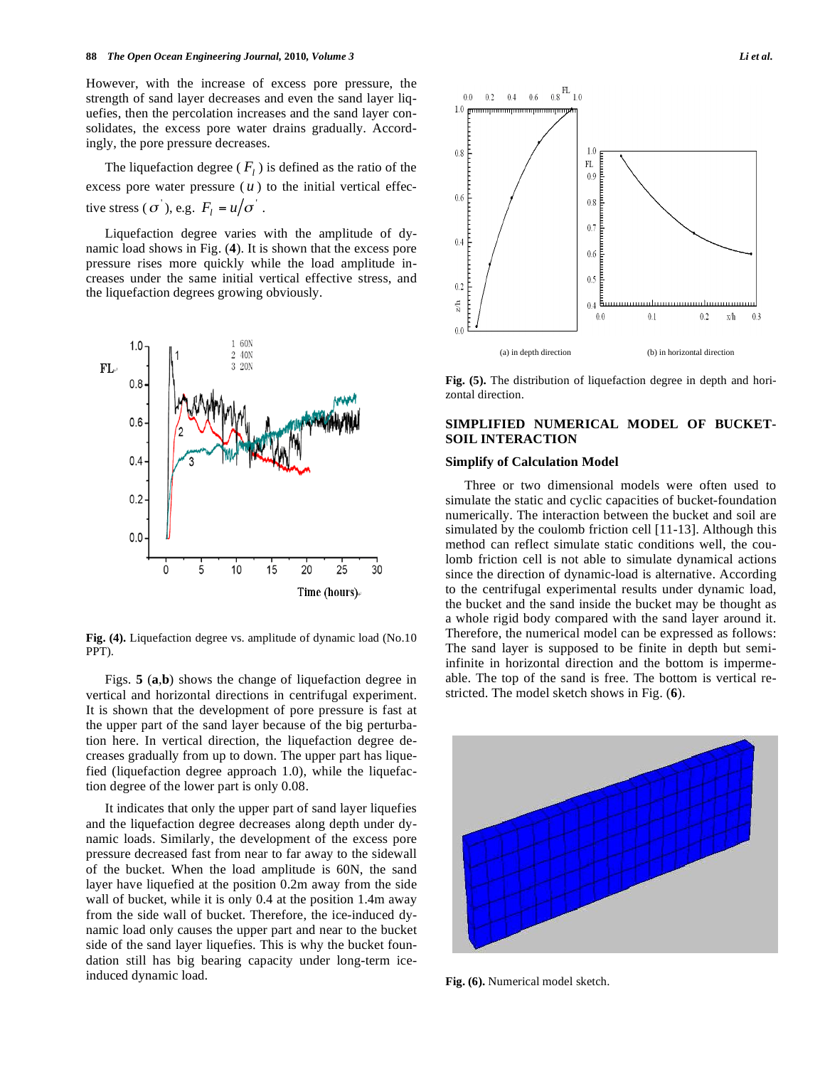However, with the increase of excess pore pressure, the strength of sand layer decreases and even the sand layer liquefies, then the percolation increases and the sand layer consolidates, the excess pore water drains gradually. Accordingly, the pore pressure decreases.

The liquefaction degree ( $F_l$ ) is defined as the ratio of the excess pore water pressure  $(u)$  to the initial vertical effective stress ( $\sigma$ ), e.g.  $F_l = u/\sigma$ .

Liquefaction degree varies with the amplitude of dynamic load shows in Fig. (**4**). It is shown that the excess pore pressure rises more quickly while the load amplitude increases under the same initial vertical effective stress, and the liquefaction degrees growing obviously.



**Fig. (4).** Liquefaction degree vs. amplitude of dynamic load (No.10 PPT).

Figs. **5** (**a**,**b**) shows the change of liquefaction degree in vertical and horizontal directions in centrifugal experiment. It is shown that the development of pore pressure is fast at the upper part of the sand layer because of the big perturbation here. In vertical direction, the liquefaction degree decreases gradually from up to down. The upper part has liquefied (liquefaction degree approach 1.0), while the liquefaction degree of the lower part is only 0.08.

It indicates that only the upper part of sand layer liquefies and the liquefaction degree decreases along depth under dynamic loads. Similarly, the development of the excess pore pressure decreased fast from near to far away to the sidewall of the bucket. When the load amplitude is 60N, the sand layer have liquefied at the position 0.2m away from the side wall of bucket, while it is only 0.4 at the position 1.4m away from the side wall of bucket. Therefore, the ice-induced dynamic load only causes the upper part and near to the bucket side of the sand layer liquefies. This is why the bucket foundation still has big bearing capacity under long-term iceinduced dynamic load.



**Fig. (5).** The distribution of liquefaction degree in depth and horizontal direction.

# **SIMPLIFIED NUMERICAL MODEL OF BUCKET-SOIL INTERACTION**

# **Simplify of Calculation Model**

Three or two dimensional models were often used to simulate the static and cyclic capacities of bucket-foundation numerically. The interaction between the bucket and soil are simulated by the coulomb friction cell [11-13]. Although this method can reflect simulate static conditions well, the coulomb friction cell is not able to simulate dynamical actions since the direction of dynamic-load is alternative. According to the centrifugal experimental results under dynamic load, the bucket and the sand inside the bucket may be thought as a whole rigid body compared with the sand layer around it. Therefore, the numerical model can be expressed as follows: The sand layer is supposed to be finite in depth but semiinfinite in horizontal direction and the bottom is impermeable. The top of the sand is free. The bottom is vertical restricted. The model sketch shows in Fig. (**6**).



**Fig. (6).** Numerical model sketch.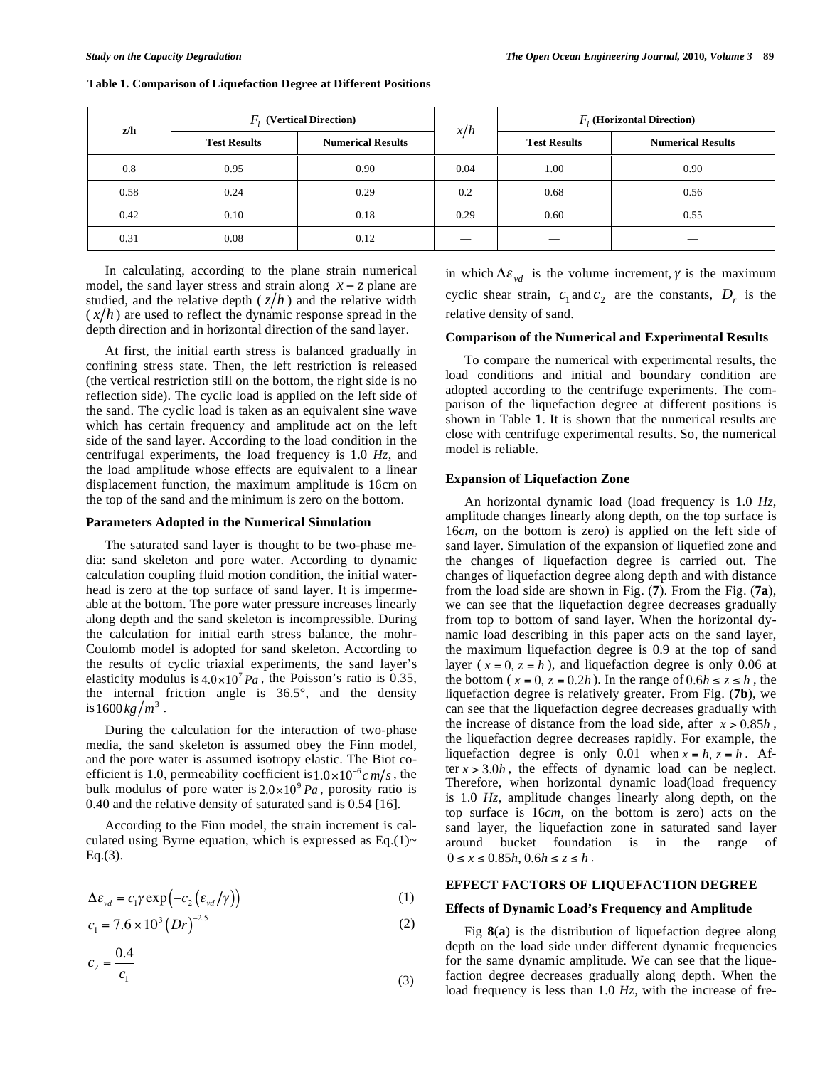| z/h  | $F_i$ (Vertical Direction) |                          | x/h  | $Fi$ (Horizontal Direction) |                          |
|------|----------------------------|--------------------------|------|-----------------------------|--------------------------|
|      | <b>Test Results</b>        | <b>Numerical Results</b> |      | <b>Test Results</b>         | <b>Numerical Results</b> |
| 0.8  | 0.95                       | 0.90                     | 0.04 | 1.00                        | 0.90                     |
| 0.58 | 0.24                       | 0.29                     | 0.2  | 0.68                        | 0.56                     |
| 0.42 | 0.10                       | 0.18                     | 0.29 | 0.60                        | 0.55                     |
| 0.31 | 0.08                       | 0.12                     |      |                             |                          |

**Table 1. Comparison of Liquefaction Degree at Different Positions** 

In calculating, according to the plane strain numerical model, the sand layer stress and strain along  $x - z$  plane are studied, and the relative depth  $(z/h)$  and the relative width  $(x/h)$  are used to reflect the dynamic response spread in the depth direction and in horizontal direction of the sand layer.

At first, the initial earth stress is balanced gradually in confining stress state. Then, the left restriction is released (the vertical restriction still on the bottom, the right side is no reflection side). The cyclic load is applied on the left side of the sand. The cyclic load is taken as an equivalent sine wave which has certain frequency and amplitude act on the left side of the sand layer. According to the load condition in the centrifugal experiments, the load frequency is 1.0 *Hz*, and the load amplitude whose effects are equivalent to a linear displacement function, the maximum amplitude is 16cm on the top of the sand and the minimum is zero on the bottom.

#### **Parameters Adopted in the Numerical Simulation**

The saturated sand layer is thought to be two-phase media: sand skeleton and pore water. According to dynamic calculation coupling fluid motion condition, the initial waterhead is zero at the top surface of sand layer. It is impermeable at the bottom. The pore water pressure increases linearly along depth and the sand skeleton is incompressible. During the calculation for initial earth stress balance, the mohr-Coulomb model is adopted for sand skeleton. According to the results of cyclic triaxial experiments, the sand layer's elasticity modulus is  $4.0 \times 10^7 Pa$ , the Poisson's ratio is 0.35, the internal friction angle is 36.5°, and the density is  $1600 \frac{kg}{m^3}$ .

During the calculation for the interaction of two-phase media, the sand skeleton is assumed obey the Finn model, and the pore water is assumed isotropy elastic. The Biot coefficient is 1.0, permeability coefficient is  $1.0 \times 10^{-6}$  cm/s, the bulk modulus of pore water is  $2.0 \times 10^{9} Pa$ , porosity ratio is 0.40 and the relative density of saturated sand is 0.54 [16]*.*

According to the Finn model, the strain increment is calculated using Byrne equation, which is expressed as Eq.(1)~  $Eq.(3)$ .

$$
\Delta \varepsilon_{\nu d} = c_1 \gamma \exp\left(-c_2 \left(\varepsilon_{\nu d} / \gamma\right)\right) \tag{1}
$$

$$
c_1 = 7.6 \times 10^3 (Dr)^{-2.5}
$$
 (2)

$$
c_2 = \frac{0.4}{c_1} \tag{3}
$$

in which  $\Delta \varepsilon_{vd}$  is the volume increment,  $\gamma$  is the maximum cyclic shear strain,  $c_1$  and  $c_2$  are the constants,  $D_r$  is the relative density of sand.

# **Comparison of the Numerical and Experimental Results**

To compare the numerical with experimental results, the load conditions and initial and boundary condition are adopted according to the centrifuge experiments. The comparison of the liquefaction degree at different positions is shown in Table **1**. It is shown that the numerical results are close with centrifuge experimental results. So, the numerical model is reliable.

# **Expansion of Liquefaction Zone**

An horizontal dynamic load (load frequency is 1.0 *Hz*, amplitude changes linearly along depth, on the top surface is 16*cm*, on the bottom is zero) is applied on the left side of sand layer. Simulation of the expansion of liquefied zone and the changes of liquefaction degree is carried out. The changes of liquefaction degree along depth and with distance from the load side are shown in Fig. (**7**). From the Fig. (**7a**), we can see that the liquefaction degree decreases gradually from top to bottom of sand layer. When the horizontal dynamic load describing in this paper acts on the sand layer, the maximum liquefaction degree is 0.9 at the top of sand layer ( $x = 0$ ,  $z = h$ ), and liquefaction degree is only 0.06 at the bottom ( $x = 0$ ,  $z = 0.2h$ ). In the range of  $0.6h \le z \le h$ , the liquefaction degree is relatively greater. From Fig. (**7b**), we can see that the liquefaction degree decreases gradually with the increase of distance from the load side, after  $x > 0.85h$ , the liquefaction degree decreases rapidly. For example, the liquefaction degree is only 0.01 when  $x = h$ ,  $z = h$ . After  $x > 3.0h$ , the effects of dynamic load can be neglect. Therefore, when horizontal dynamic load(load frequency is 1.0 *Hz*, amplitude changes linearly along depth, on the top surface is 16*cm*, on the bottom is zero) acts on the sand layer, the liquefaction zone in saturated sand layer around bucket foundation is in the range of  $0 \le x \le 0.85h, 0.6h \le z \le h$ .

### **EFFECT FACTORS OF LIQUEFACTION DEGREE**

### **Effects of Dynamic Load's Frequency and Amplitude**

Fig **8**(**a**) is the distribution of liquefaction degree along depth on the load side under different dynamic frequencies for the same dynamic amplitude. We can see that the liquefaction degree decreases gradually along depth. When the load frequency is less than 1.0 *Hz*, with the increase of fre-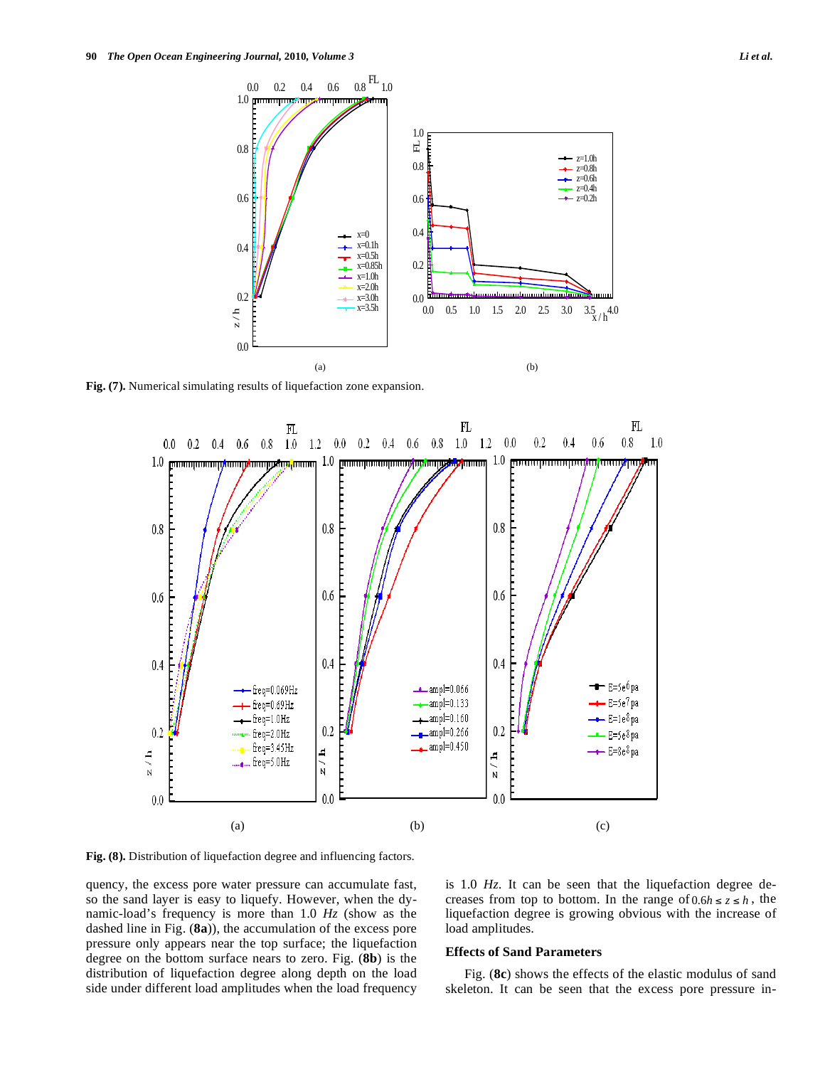

**Fig. (7).** Numerical simulating results of liquefaction zone expansion.



**Fig. (8).** Distribution of liquefaction degree and influencing factors.

quency, the excess pore water pressure can accumulate fast, so the sand layer is easy to liquefy. However, when the dynamic-load's frequency is more than 1.0 *Hz* (show as the dashed line in Fig. (**8a**)), the accumulation of the excess pore pressure only appears near the top surface; the liquefaction degree on the bottom surface nears to zero. Fig. (**8b**) is the distribution of liquefaction degree along depth on the load side under different load amplitudes when the load frequency is 1.0 *Hz*. It can be seen that the liquefaction degree decreases from top to bottom. In the range of  $0.6h \le z \le h$ , the liquefaction degree is growing obvious with the increase of load amplitudes.

#### **Effects of Sand Parameters**

Fig. (**8c**) shows the effects of the elastic modulus of sand skeleton. It can be seen that the excess pore pressure in-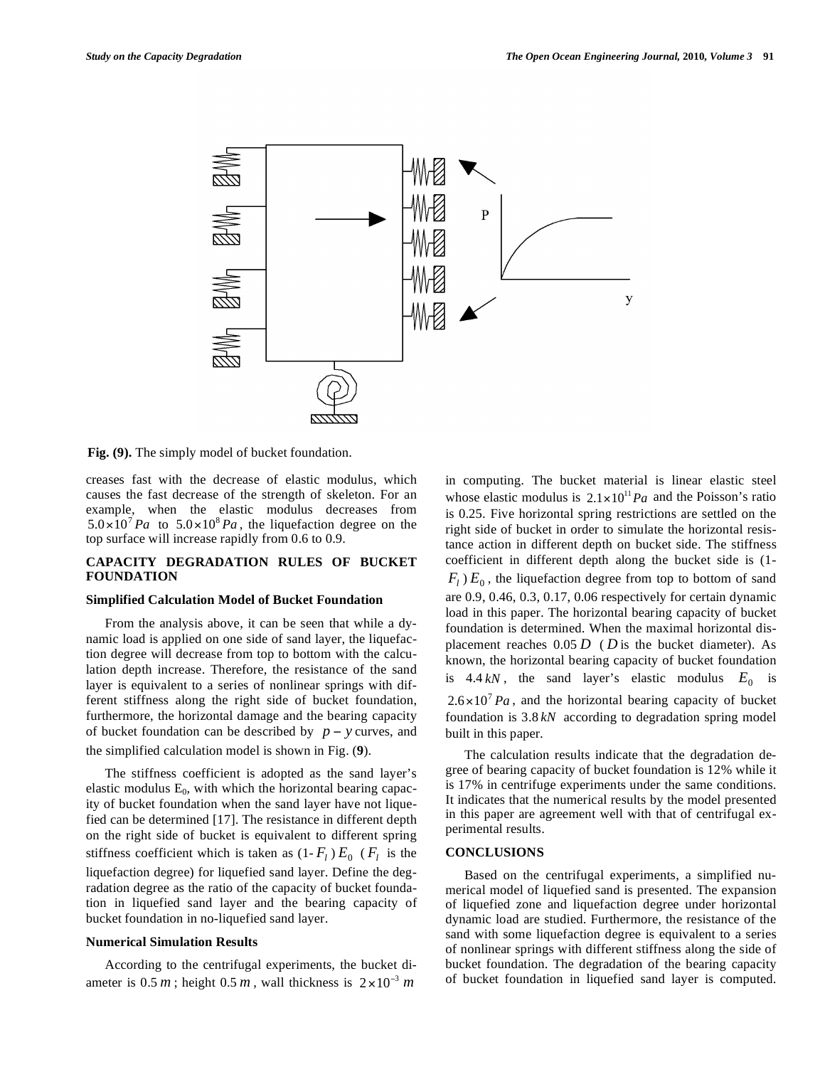

**Fig. (9).** The simply model of bucket foundation.

creases fast with the decrease of elastic modulus, which causes the fast decrease of the strength of skeleton. For an example, when the elastic modulus decreases from  $5.0 \times 10^7$  Pa to  $5.0 \times 10^8$  Pa, the liquefaction degree on the top surface will increase rapidly from 0.6 to 0.9.

# **CAPACITY DEGRADATION RULES OF BUCKET FOUNDATION**

# **Simplified Calculation Model of Bucket Foundation**

From the analysis above, it can be seen that while a dynamic load is applied on one side of sand layer, the liquefaction degree will decrease from top to bottom with the calculation depth increase. Therefore, the resistance of the sand layer is equivalent to a series of nonlinear springs with different stiffness along the right side of bucket foundation, furthermore, the horizontal damage and the bearing capacity of bucket foundation can be described by  $p - y$  curves, and

the simplified calculation model is shown in Fig. (**9**).

The stiffness coefficient is adopted as the sand layer's elastic modulus  $E_0$ , with which the horizontal bearing capacity of bucket foundation when the sand layer have not liquefied can be determined [17]. The resistance in different depth on the right side of bucket is equivalent to different spring stiffness coefficient which is taken as  $(1 - F_l) E_0$  ( $F_l$  is the liquefaction degree) for liquefied sand layer. Define the degradation degree as the ratio of the capacity of bucket foundation in liquefied sand layer and the bearing capacity of bucket foundation in no-liquefied sand layer.

# **Numerical Simulation Results**

According to the centrifugal experiments, the bucket diameter is  $0.5 m$ ; height  $0.5 m$ , wall thickness is  $2 \times 10^{-3} m$ 

in computing. The bucket material is linear elastic steel whose elastic modulus is  $2.1 \times 10^{11} Pa$  and the Poisson's ratio is 0.25. Five horizontal spring restrictions are settled on the right side of bucket in order to simulate the horizontal resistance action in different depth on bucket side. The stiffness coefficient in different depth along the bucket side is (1-  $F_l$ )  $E_0$ , the liquefaction degree from top to bottom of sand are 0.9, 0.46, 0.3, 0.17, 0.06 respectively for certain dynamic load in this paper. The horizontal bearing capacity of bucket foundation is determined. When the maximal horizontal displacement reaches 0.05 *D* ( *D* is the bucket diameter). As known, the horizontal bearing capacity of bucket foundation is  $4.4 kN$ , the sand layer's elastic modulus  $E_0$  is  $2.6 \times 10^7$  Pa, and the horizontal bearing capacity of bucket foundation is 3.8 *kN* according to degradation spring model built in this paper.

The calculation results indicate that the degradation degree of bearing capacity of bucket foundation is 12% while it is 17% in centrifuge experiments under the same conditions. It indicates that the numerical results by the model presented in this paper are agreement well with that of centrifugal experimental results.

# **CONCLUSIONS**

Based on the centrifugal experiments, a simplified numerical model of liquefied sand is presented. The expansion of liquefied zone and liquefaction degree under horizontal dynamic load are studied. Furthermore, the resistance of the sand with some liquefaction degree is equivalent to a series of nonlinear springs with different stiffness along the side of bucket foundation. The degradation of the bearing capacity of bucket foundation in liquefied sand layer is computed.